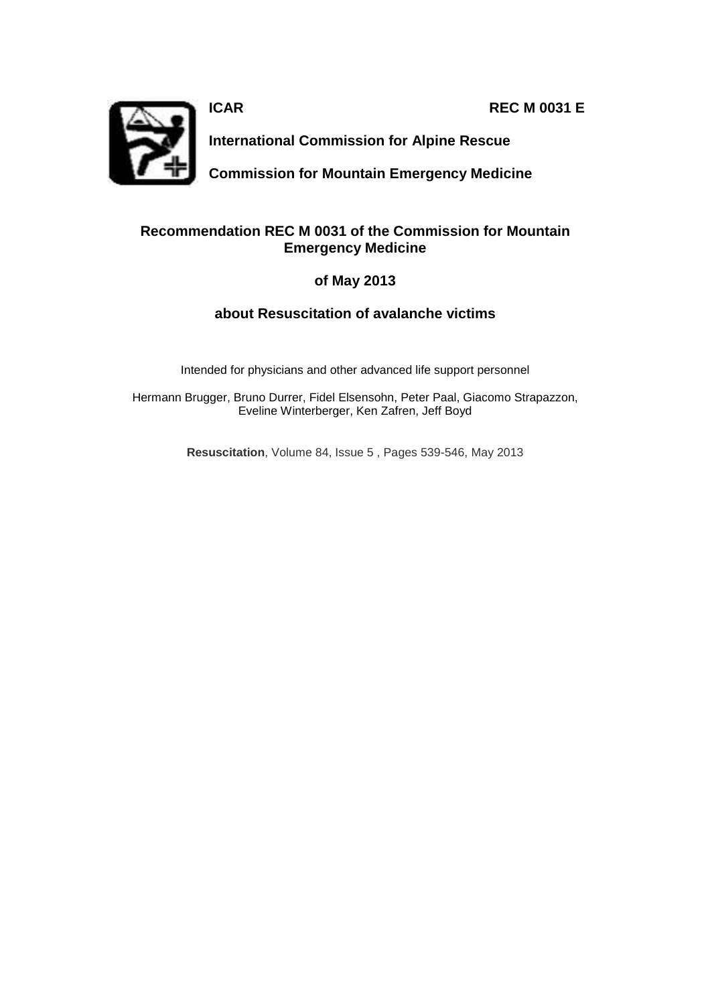**ICAR REC M 0031 E** 



**International Commission for Alpine Rescue** 

**Commission for Mountain Emergency Medicine**

# **Recommendation REC M 0031 of the Commission for Mountain Emergency Medicine**

# **of May 2013**

# **about Resuscitation of avalanche victims**

Intended for physicians and other advanced life support personnel

Hermann Brugger, Bruno Durrer, Fidel Elsensohn, Peter Paal, Giacomo Strapazzon, Eveline Winterberger, Ken Zafren, Jeff Boyd

**Resuscitation**, Volume 84, Issue 5 , Pages 539-546, May 2013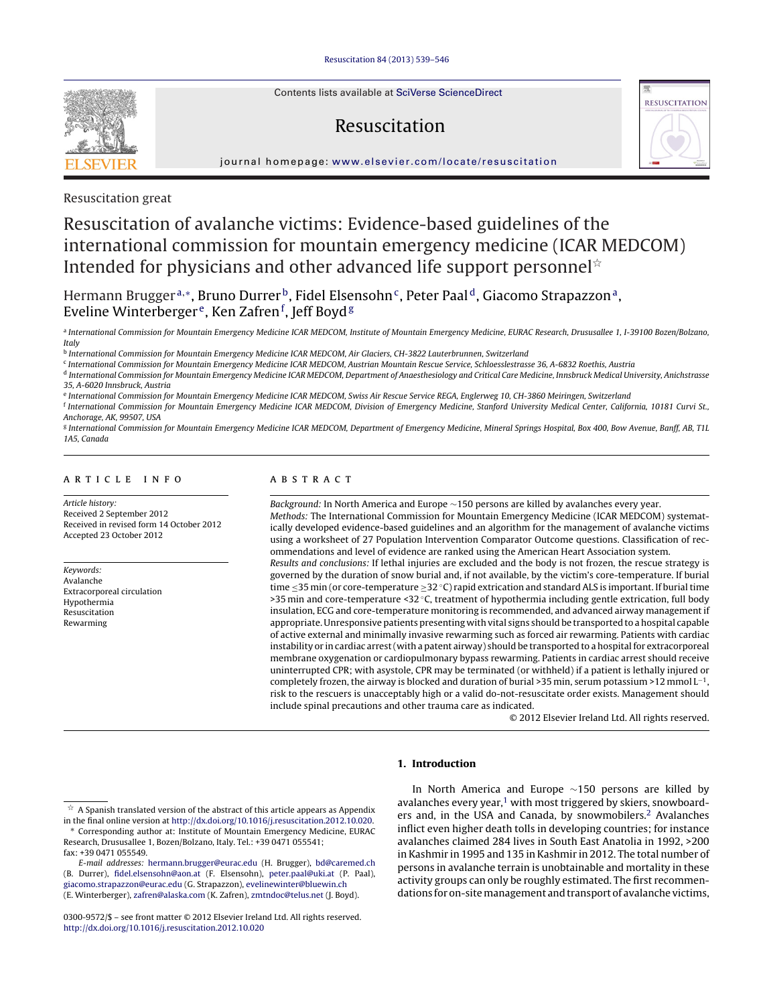Contents lists available at SciVerse [ScienceDirect](http://www.sciencedirect.com/science/journal/03009572)

# Resuscitation



iournal homepage: [www.elsevier.com/locate/resuscitation](http://www.elsevier.com/locate/resuscitation)



Resuscitation great

# Resuscitation of avalanche victims: Evidence-based guidelines of the international commission for mountain emergency medicine (ICAR MEDCOM) Intended for physicians and other advanced life support personnel\*

Hermann Brugger<sup>a,∗</sup>, Bruno Durrer<sup>b</sup>, Fidel Elsensohn<sup>c</sup>, Peter Paal<sup>d</sup>, Giacomo Strapazzon<sup>a</sup>, Eveline Winterberger<sup>e</sup>, Ken Zafren<sup>f</sup>, Jeff Boyd<sup>g</sup>

a International Commission for Mountain Emergency Medicine ICAR MEDCOM, Institute of Mountain Emergency Medicine, EURAC Research, Drususallee 1, I-39100 Bozen/Bolzano, Italy

<sup>b</sup> International Commission for Mountain Emergency Medicine ICAR MEDCOM, Air Glaciers, CH-3822 Lauterbrunnen, Switzerland

<sup>c</sup> International Commission for Mountain Emergency Medicine ICAR MEDCOM, Austrian Mountain Rescue Service, Schloesslestrasse 36, A-6832 Roethis, Austria

<sup>d</sup> International Commission for Mountain Emergency Medicine ICAR MEDCOM, Department of Anaesthesiology and Critical Care Medicine, Innsbruck Medical University, Anichstrasse 35, A-6020 Innsbruck, Austria

<sup>e</sup> International Commission for Mountain Emergency Medicine ICAR MEDCOM, Swiss Air Rescue Service REGA, Englerweg 10, CH-3860 Meiringen, Switzerland

f International Commission for Mountain Emergency Medicine ICAR MEDCOM, Division of Emergency Medicine, Stanford University Medical Center, California, 10181 Curvi St., Anchorage, AK, 99507, USA

<sup>g</sup> International Commission for Mountain Emergency Medicine ICAR MEDCOM, Department of Emergency Medicine, Mineral Springs Hospital, Box 400, Bow Avenue, Banff, AB, T1L 1A5, Canada

# a r t i c l e i n f o

Article history: Received 2 September 2012 Received in revised form 14 October 2012 Accepted 23 October 2012

Keywords: Avalanche Extracorporeal circulation Hypothermia Resuscitation Rewarming

# A B S T R A C T

Background: In North America and Europe ∼150 persons are killed by avalanches every year.

Methods: The International Commission for Mountain Emergency Medicine (ICAR MEDCOM) systematically developed evidence-based guidelines and an algorithm for the management of avalanche victims using a worksheet of 27 Population Intervention Comparator Outcome questions. Classification of recommendations and level of evidence are ranked using the American Heart Association system. Results and conclusions: If lethal injuries are excluded and the body is not frozen, the rescue strategy is governed by the duration of snow burial and, if not available, by the victim's core-temperature. If burial time ≤35 min (or core-temperature ≥32 °C) rapid extrication and standard ALS is important. If burial time >35 min and core-temperature <32 ◦C, treatment of hypothermia including gentle extrication, full body insulation, ECG and core-temperature monitoring is recommended, and advanced airway management if appropriate. Unresponsive patients presenting with vital signs should be transported to a hospital capable of active external and minimally invasive rewarming such as forced air rewarming. Patients with cardiac instability or in cardiac arrest (with a patent airway) should be transported to a hospital for extracorporeal membrane oxygenation or cardiopulmonary bypass rewarming. Patients in cardiac arrest should receive uninterrupted CPR; with asystole, CPR may be terminated (or withheld) if a patient is lethally injured or completely frozen, the airway is blocked and duration of burial >35 min, serum potassium >12 mmol  $L^{-1}$ , risk to the rescuers is unacceptably high or a valid do-not-resuscitate order exists. Management should include spinal precautions and other trauma care as indicated.

© 2012 Elsevier Ireland Ltd. All rights reserved.

## **1. Introduction**

In North America and Europe ∼150 persons are killed by avalanches every year, $1$  with most triggered by skiers, snowboarders and, in the USA and Canada, by snowmobilers.<sup>2</sup> Avalanches inflict even higher death tolls in developing countries; for instance avalanches claimed 284 lives in South East Anatolia in 1992, >200 in Kashmir in 1995 and 135 in Kashmir in 2012. The total number of persons in avalanche terrain is unobtainable and mortality in these activity groups can only be roughly estimated. The first recommendations for on-site management and transport of avalanche victims,

 $\mathrm{\acute{e}t}\,$  A Spanish translated version of the abstract of this article appears as Appendix in the final online version at [http://dx.doi.org/10.1016/j.resuscitation.2012.10.020.](http://dx.doi.org/10.1016/j.resuscitation.2012.10.020) Corresponding author at: Institute of Mountain Emergency Medicine, EURAC

Research, Drususallee 1, Bozen/Bolzano, Italy. Tel.: +39 0471 055541; fax: +39 0471 055549.

E-mail addresses: [hermann.brugger@eurac.edu](mailto:hermann.brugger@eurac.edu) (H. Brugger), [bd@caremed.ch](mailto:bd@caremed.ch) (B. Durrer), [fidel.elsensohn@aon.at](mailto:fidel.elsensohn@aon.at) (F. Elsensohn), [peter.paal@uki.at](mailto:peter.paal@uki.at) (P. Paal), [giacomo.strapazzon@eurac.edu](mailto:giacomo.strapazzon@eurac.edu) (G. Strapazzon), [evelinewinter@bluewin.ch](mailto:evelinewinter@bluewin.ch) (E. Winterberger), [zafren@alaska.com](mailto:zafren@alaska.com) (K. Zafren), [zmtndoc@telus.net](mailto:zmtndoc@telus.net) (J. Boyd).

<sup>0300-9572/\$</sup> – see front matter © 2012 Elsevier Ireland Ltd. All rights reserved. [http://dx.doi.org/10.1016/j.resuscitation.2012.10.020](dx.doi.org/10.1016/j.resuscitation.2012.10.020)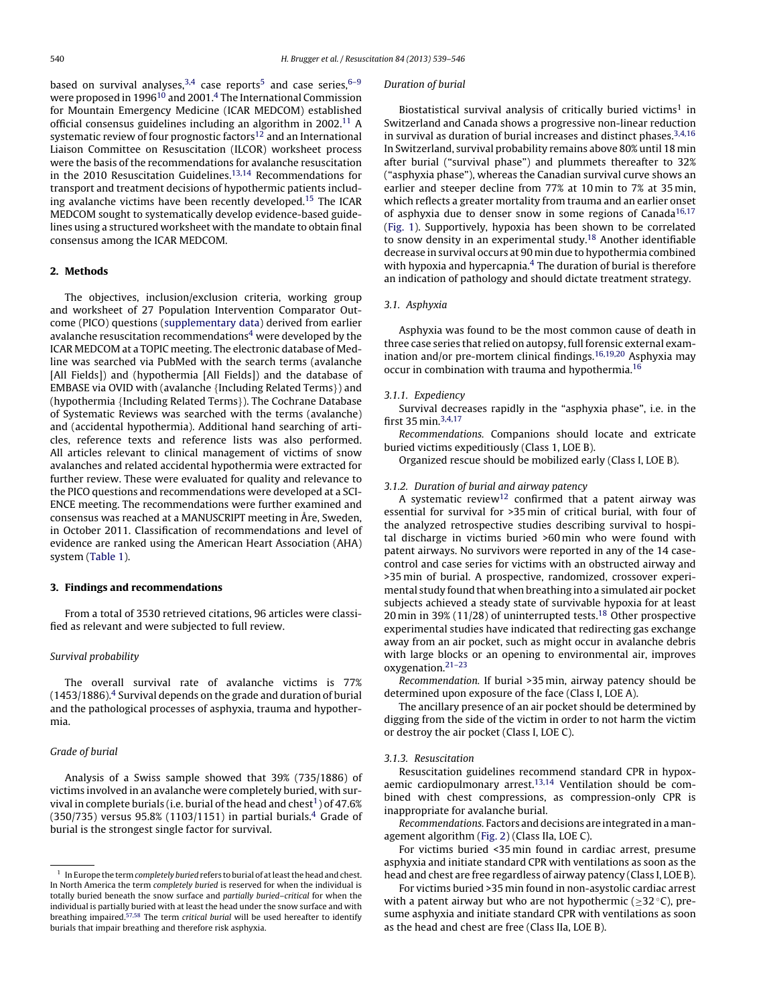based on survival analyses,  $3,4$  case reports<sup>5</sup> and case series,  $6-9$ were proposed in 1996<sup>10</sup> and 2001.<sup>4</sup> The International Commission for Mountain Emergency Medicine (ICAR MEDCOM) established official consensus guidelines including an algorithm in 2002.11 A systematic review of four prognostic factors<sup>12</sup> and an International Liaison Committee on Resuscitation (ILCOR) worksheet process were the basis of the recommendations for avalanche resuscitation in the 2010 Resuscitation Guidelines.<sup>13,14</sup> Recommendations for transport and treatment decisions of hypothermic patients including avalanche victims have been recently developed.<sup>15</sup> The ICAR MEDCOM sought to systematically develop evidence-based guidelines using a structured worksheet with the mandate to obtain final consensus among the ICAR MEDCOM.

#### **2. Methods**

The objectives, inclusion/exclusion criteria, working group and worksheet of 27 Population Intervention Comparator Outcome (PICO) questions (supplementary data) derived from earlier avalanche resuscitation recommendations<sup>4</sup> were developed by the ICAR MEDCOM at a TOPIC meeting. The electronic database of Medline was searched via PubMed with the search terms (avalanche [All Fields]) and (hypothermia [All Fields]) and the database of EMBASE via OVID with (avalanche {Including Related Terms}) and (hypothermia {Including Related Terms}). The Cochrane Database of Systematic Reviews was searched with the terms (avalanche) and (accidental hypothermia). Additional hand searching of articles, reference texts and reference lists was also performed. All articles relevant to clinical management of victims of snow avalanches and related accidental hypothermia were extracted for further review. These were evaluated for quality and relevance to the PICO questions and recommendations were developed at a SCI-ENCE meeting. The recommendations were further examined and consensus was reached at a MANUSCRIPT meeting in Åre, Sweden, in October 2011. Classification of recommendations and level of evidence are ranked using the American Heart Association (AHA) system (Table 1).

## **3. Findings and recommendations**

From a total of 3530 retrieved citations, 96 articles were classified as relevant and were subjected to full review.

# Survival probability

The overall survival rate of avalanche victims is 77%  $(1453/1886).<sup>4</sup>$  Survival depends on the grade and duration of burial and the pathological processes of asphyxia, trauma and hypothermia.

# Grade of burial

Analysis of a Swiss sample showed that 39% (735/1886) of victims involved in an avalanche were completely buried, with survival in complete burials (i.e. burial of the head and chest<sup>1</sup>) of 47.6%  $(350/735)$  versus 95.8% (1103/1151) in partial burials.<sup>4</sup> Grade of burial is the strongest single factor for survival.

#### Duration of burial

Biostatistical survival analysis of critically buried victims<sup>1</sup> in Switzerland and Canada shows a progressive non-linear reduction in survival as duration of burial increases and distinct phases. $3,4,16$ In Switzerland, survival probability remains above 80% until 18 min after burial ("survival phase") and plummets thereafter to 32% ("asphyxia phase"), whereas the Canadian survival curve shows an earlier and steeper decline from 77% at 10 min to 7% at 35 min, which reflects a greater mortality from trauma and an earlier onset of asphyxia due to denser snow in some regions of Canada<sup>16,17</sup> (Fig. 1). Supportively, hypoxia has been shown to be correlated to snow density in an experimental study.<sup>18</sup> Another identifiable decrease in survival occurs at 90 min due to hypothermia combined with hypoxia and hypercapnia. $4$  The duration of burial is therefore an indication of pathology and should dictate treatment strategy.

# 3.1. Asphyxia

Asphyxia was found to be the most common cause of death in three case series that relied on autopsy, full forensic external examination and/or pre-mortem clinical findings.<sup>16,19,20</sup> Asphyxia may occur in combination with trauma and hypothermia.16

#### 3.1.1. Expediency

Survival decreases rapidly in the "asphyxia phase", i.e. in the first 35 min.3,4,17

Recommendations. Companions should locate and extricate buried victims expeditiously (Class 1, LOE B).

Organized rescue should be mobilized early (Class I, LOE B).

## 3.1.2. Duration of burial and airway patency

A systematic review<sup>12</sup> confirmed that a patent airway was essential for survival for >35 min of critical burial, with four of the analyzed retrospective studies describing survival to hospital discharge in victims buried >60 min who were found with patent airways. No survivors were reported in any of the 14 casecontrol and case series for victims with an obstructed airway and >35 min of burial. A prospective, randomized, crossover experimental study found that when breathing into a simulated air pocket subjects achieved a steady state of survivable hypoxia for at least 20 min in 39% (11/28) of uninterrupted tests.18 Other prospective experimental studies have indicated that redirecting gas exchange away from an air pocket, such as might occur in avalanche debris with large blocks or an opening to environmental air, improves oxygenation.21–23

Recommendation. If burial >35 min, airway patency should be determined upon exposure of the face (Class I, LOE A).

The ancillary presence of an air pocket should be determined by digging from the side of the victim in order to not harm the victim or destroy the air pocket (Class I, LOE C).

#### 3.1.3. Resuscitation

Resuscitation guidelines recommend standard CPR in hypoxaemic cardiopulmonary arrest.<sup>13,14</sup> Ventilation should be combined with chest compressions, as compression-only CPR is inappropriate for avalanche burial.

Recommendations. Factors and decisions are integrated inamanagement algorithm (Fig. 2) (Class IIa, LOE C).

For victims buried <35 min found in cardiac arrest, presume asphyxia and initiate standard CPR with ventilations as soon as the head and chest are free regardless of airway patency (Class I, LOE B).

For victims buried >35 min found in non-asystolic cardiac arrest with a patent airway but who are not hypothermic ( $\geq$ 32 °C), presume asphyxia and initiate standard CPR with ventilations as soon as the head and chest are free (Class IIa, LOE B).

 $^1\,$  In Europe the term completely buried refers to burial of at least the head and chest. In North America the term completely buried is reserved for when the individual is totally buried beneath the snow surface and partially buried–critical for when the individual is partially buried with at least the head under the snow surface and with breathing impaired.57,58 The term critical burial will be used hereafter to identify burials that impair breathing and therefore risk asphyxia.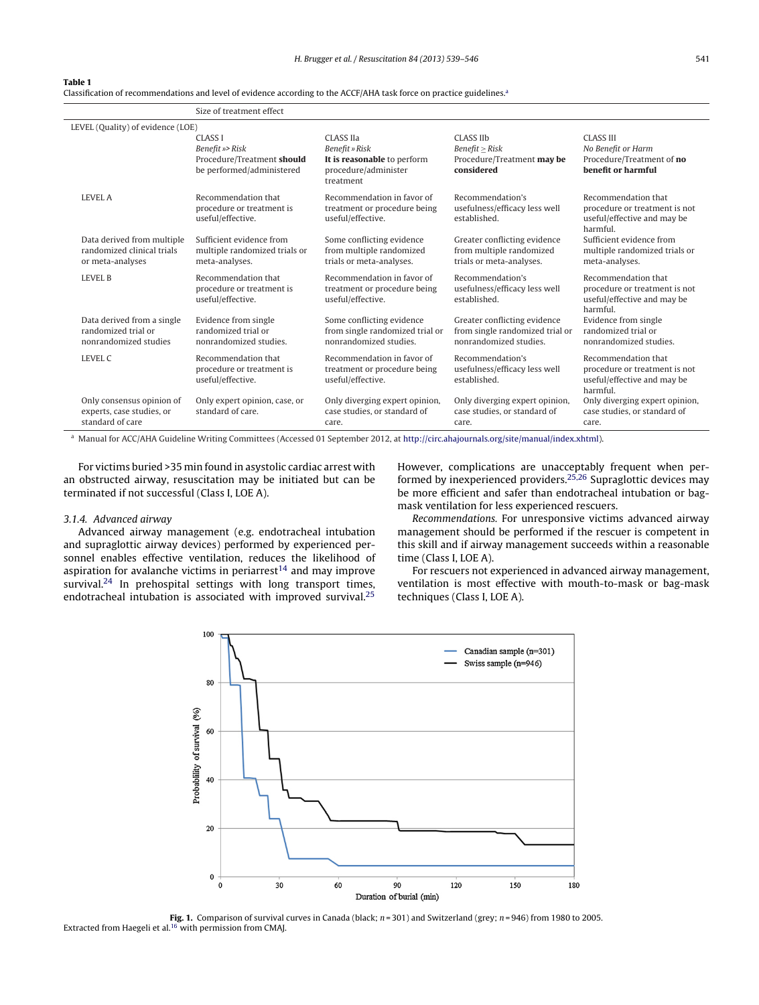#### **Table 1**

Classification of recommendations and level of evidence according to the ACCF/AHA task force on practice guidelines.<sup>4</sup>

|                                                                              | Size of treatment effect                                                                     |                                                                                                 |                                                                                           |                                                                                                 |  |  |
|------------------------------------------------------------------------------|----------------------------------------------------------------------------------------------|-------------------------------------------------------------------------------------------------|-------------------------------------------------------------------------------------------|-------------------------------------------------------------------------------------------------|--|--|
| LEVEL (Quality) of evidence (LOE)                                            |                                                                                              |                                                                                                 |                                                                                           |                                                                                                 |  |  |
|                                                                              | <b>CLASS I</b><br>Benefit »> Risk<br>Procedure/Treatment should<br>be performed/administered | CLASS IIa<br>Benefit » Risk<br>It is reasonable to perform<br>procedure/administer<br>treatment | CLASS IIb<br>Benefit > Risk<br>Procedure/Treatment may be<br>considered                   | <b>CLASS III</b><br>No Benefit or Harm<br>Procedure/Treatment of no<br>benefit or harmful       |  |  |
| <b>LEVEL A</b>                                                               | Recommendation that<br>procedure or treatment is<br>useful/effective.                        | Recommendation in favor of<br>treatment or procedure being<br>useful/effective.                 | Recommendation's<br>usefulness/efficacy less well<br>established.                         | Recommendation that<br>procedure or treatment is not<br>useful/effective and may be<br>harmful. |  |  |
| Data derived from multiple<br>randomized clinical trials<br>or meta-analyses | Sufficient evidence from<br>multiple randomized trials or<br>meta-analyses.                  | Some conflicting evidence<br>from multiple randomized<br>trials or meta-analyses.               | Greater conflicting evidence<br>from multiple randomized<br>trials or meta-analyses.      | Sufficient evidence from<br>multiple randomized trials or<br>meta-analyses.                     |  |  |
| <b>LEVEL B</b>                                                               | Recommendation that<br>procedure or treatment is<br>useful/effective.                        | Recommendation in favor of<br>treatment or procedure being<br>useful/effective.                 | Recommendation's<br>usefulness/efficacy less well<br>established.                         | Recommendation that<br>procedure or treatment is not<br>useful/effective and may be<br>harmful. |  |  |
| Data derived from a single<br>randomized trial or<br>nonrandomized studies   | Evidence from single<br>randomized trial or<br>nonrandomized studies.                        | Some conflicting evidence<br>from single randomized trial or<br>nonrandomized studies.          | Greater conflicting evidence<br>from single randomized trial or<br>nonrandomized studies. | Evidence from single<br>randomized trial or<br>nonrandomized studies.                           |  |  |
| LEVEL C                                                                      | Recommendation that<br>procedure or treatment is<br>useful/effective.                        | Recommendation in favor of<br>treatment or procedure being<br>useful/effective.                 | Recommendation's<br>usefulness/efficacy less well<br>established.                         | Recommendation that<br>procedure or treatment is not<br>useful/effective and may be<br>harmful. |  |  |
| Only consensus opinion of<br>experts, case studies, or<br>standard of care   | Only expert opinion, case, or<br>standard of care.                                           | Only diverging expert opinion,<br>case studies, or standard of<br>care.                         | Only diverging expert opinion,<br>case studies, or standard of<br>care.                   | Only diverging expert opinion,<br>case studies, or standard of<br>care.                         |  |  |

<sup>a</sup> Manual for ACC/AHA Guideline Writing Committees (Accessed 01 September 2012, at [http://circ.ahajournals.org/site/manual/index.xhtml\)](http://circ.ahajournals.org/site/manual/index.xhtml).

For victims buried >35 min found in asystolic cardiac arrest with an obstructed airway, resuscitation may be initiated but can be terminated if not successful (Class I, LOE A).

# 3.1.4. Advanced airway

Advanced airway management (e.g. endotracheal intubation and supraglottic airway devices) performed by experienced personnel enables effective ventilation, reduces the likelihood of aspiration for avalanche victims in periarrest<sup>14</sup> and may improve survival.<sup>24</sup> In prehospital settings with long transport times, endotracheal intubation is associated with improved survival.<sup>25</sup>

However, complications are unacceptably frequent when performed by inexperienced providers.<sup>25,26</sup> Supraglottic devices may be more efficient and safer than endotracheal intubation or bagmask ventilation for less experienced rescuers.

Recommendations. For unresponsive victims advanced airway management should be performed if the rescuer is competent in this skill and if airway management succeeds within a reasonable time (Class I, LOE A).

For rescuers not experienced in advanced airway management, ventilation is most effective with mouth-to-mask or bag-mask techniques (Class I, LOE A).



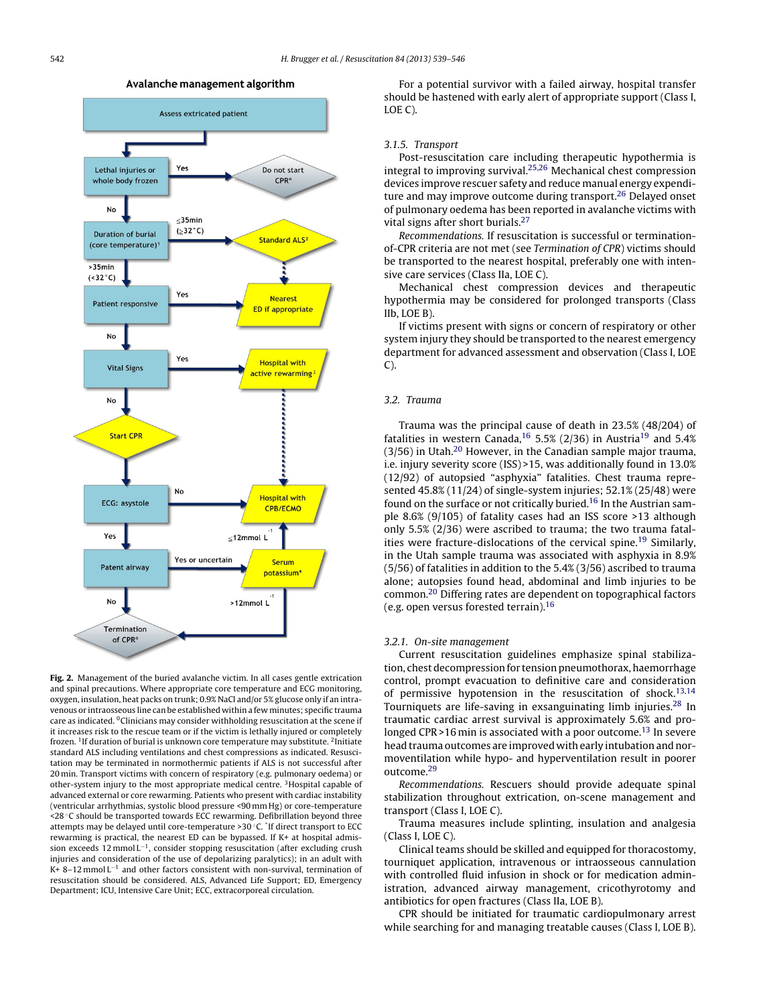

Avalanche management algorithm

**Fig. 2.** Management of the buried avalanche victim. In all cases gentle extrication and spinal precautions. Where appropriate core temperature and ECG monitoring, oxygen, insulation, heat packs on trunk; 0.9% NaCl and/or 5% glucose only if an intravenous or intraosseous line can be established within a few minutes; specific trauma care as indicated. <sup>0</sup>Clinicians may consider withholding resuscitation at the scene if it increases risk to the rescue team or if the victim is lethally injured or completely frozen. 1If duration of burial is unknown core temperature may substitute. 2Initiate standard ALS including ventilations and chest compressions as indicated. Resuscitation may be terminated in normothermic patients if ALS is not successful after 20 min. Transport victims with concern of respiratory (e.g. pulmonary oedema) or other-system injury to the most appropriate medical centre. 3Hospital capable of advanced external or core rewarming. Patients who present with cardiac instability (ventricular arrhythmias, systolic blood pressure <90 mm Hg) or core-temperature <28 ◦C should be transported towards ECC rewarming. Defibrillation beyond three attempts may be delayed until core-temperature >30 ◦C. \* If direct transport to ECC rewarming is practical, the nearest ED can be bypassed. If K+ at hospital admission exceeds 12 mmol L−1, consider stopping resuscitation (after excluding crush injuries and consideration of the use of depolarizing paralytics); in an adult with K+ 8–12 mmol L−<sup>1</sup> and other factors consistent with non-survival, termination of resuscitation should be considered. ALS, Advanced Life Support; ED, Emergency Department; ICU, Intensive Care Unit; ECC, extracorporeal circulation.

For a potential survivor with a failed airway, hospital transfer should be hastened with early alert of appropriate support (Class I, LOE C).

#### 3.1.5. Transport

Post-resuscitation care including therapeutic hypothermia is integral to improving survival.25,26 Mechanical chest compression devices improve rescuer safety and reduce manual energy expenditure and may improve outcome during transport.<sup>26</sup> Delayed onset of pulmonary oedema has been reported in avalanche victims with vital signs after short burials.<sup>27</sup>

Recommendations. If resuscitation is successful or terminationof-CPR criteria are not met (see Termination of CPR) victims should be transported to the nearest hospital, preferably one with intensive care services (Class IIa, LOE C).

Mechanical chest compression devices and therapeutic hypothermia may be considered for prolonged transports (Class IIb, LOE B).

If victims present with signs or concern of respiratory or other system injury they should be transported to the nearest emergency department for advanced assessment and observation (Class I, LOE C).

#### 3.2. Trauma

Trauma was the principal cause of death in 23.5% (48/204) of fatalities in western Canada,<sup>16</sup> 5.5% (2/36) in Austria<sup>19</sup> and 5.4%  $(3/56)$  in Utah.<sup>20</sup> However, in the Canadian sample major trauma, i.e. injury severity score (ISS) >15, was additionally found in 13.0% (12/92) of autopsied "asphyxia" fatalities. Chest trauma represented 45.8% (11/24) of single-system injuries; 52.1% (25/48) were found on the surface or not critically buried.<sup>16</sup> In the Austrian sample 8.6% (9/105) of fatality cases had an ISS score >13 although only 5.5% (2/36) were ascribed to trauma; the two trauma fatalities were fracture-dislocations of the cervical spine.<sup>19</sup> Similarly, in the Utah sample trauma was associated with asphyxia in 8.9% (5/56) of fatalities in addition to the 5.4% (3/56) ascribed to trauma alone; autopsies found head, abdominal and limb injuries to be common.20 Differing rates are dependent on topographical factors (e.g. open versus forested terrain).16

#### 3.2.1. On-site management

Current resuscitation guidelines emphasize spinal stabilization, chest decompression for tension pneumothorax, haemorrhage control, prompt evacuation to definitive care and consideration of permissive hypotension in the resuscitation of shock.<sup>13,14</sup> Tourniquets are life-saving in exsanguinating limb injuries.<sup>28</sup> In traumatic cardiac arrest survival is approximately 5.6% and prolonged CPR >16 min is associated with a poor outcome.<sup>13</sup> In severe head trauma outcomes are improved with early intubation and normoventilation while hypo- and hyperventilation result in poorer outcome.29

Recommendations. Rescuers should provide adequate spinal stabilization throughout extrication, on-scene management and transport (Class I, LOE C).

Trauma measures include splinting, insulation and analgesia (Class I, LOE C).

Clinical teams should be skilled and equipped for thoracostomy, tourniquet application, intravenous or intraosseous cannulation with controlled fluid infusion in shock or for medication administration, advanced airway management, cricothyrotomy and antibiotics for open fractures (Class IIa, LOE B).

CPR should be initiated for traumatic cardiopulmonary arrest while searching for and managing treatable causes (Class I, LOE B).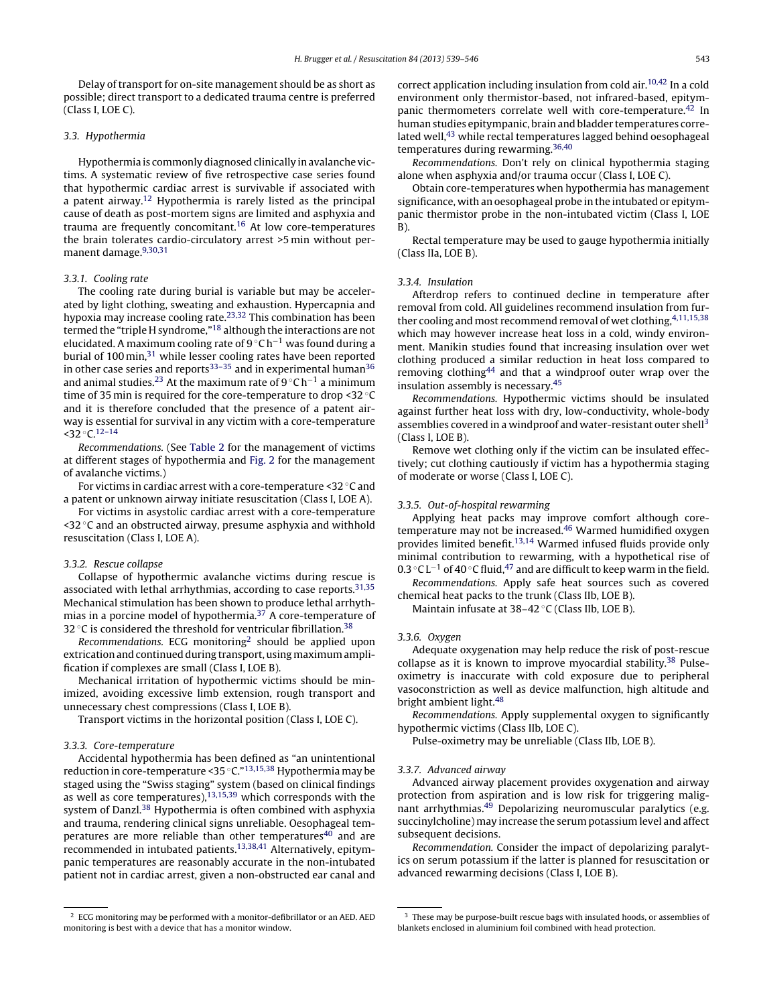Delay of transport for on-site management should be as short as possible; direct transport to a dedicated trauma centre is preferred (Class I, LOE C).

# 3.3. Hypothermia

Hypothermia is commonly diagnosed clinically inavalanche victims. A systematic review of five retrospective case series found that hypothermic cardiac arrest is survivable if associated with a patent airway.12 Hypothermia is rarely listed as the principal cause of death as post-mortem signs are limited and asphyxia and trauma are frequently concomitant.16 At low core-temperatures the brain tolerates cardio-circulatory arrest >5 min without permanent damage.9,30,31

# 3.3.1. Cooling rate

The cooling rate during burial is variable but may be accelerated by light clothing, sweating and exhaustion. Hypercapnia and hypoxia may increase cooling rate.23,32 This combination has been termed the "triple H syndrome,"18 although the interactions are not elucidated. A maximum cooling rate of 9 ◦C h−<sup>1</sup> was found during a burial of 100 min,<sup>31</sup> while lesser cooling rates have been reported in other case series and reports<sup>33-35</sup> and in experimental human<sup>36</sup> and animal studies.<sup>23</sup> At the maximum rate of 9 °C h<sup>-1</sup> a minimum time of 35 min is required for the core-temperature to drop <32 ◦C and it is therefore concluded that the presence of a patent airway is essential for survival in any victim with a core-temperature <32 ◦C.12–14

Recommendations. (See Table 2 for the management of victims at different stages of hypothermia and Fig. 2 for the management of avalanche victims.)

For victims in cardiac arrest with a core-temperature <32 ◦C and a patent or unknown airway initiate resuscitation (Class I, LOE A).

For victims in asystolic cardiac arrest with a core-temperature  $\leq$ 32 °C and an obstructed airway, presume asphyxia and withhold resuscitation (Class I, LOE A).

#### 3.3.2. Rescue collapse

Collapse of hypothermic avalanche victims during rescue is associated with lethal arrhythmias, according to case reports.<sup>31,35</sup> Mechanical stimulation has been shown to produce lethal arrhythmias in a porcine model of hypothermia.37 A core-temperature of 32  $\degree$ C is considered the threshold for ventricular fibrillation.<sup>38</sup>

Recommendations. ECG monitoring<sup>2</sup> should be applied upon extrication and continued during transport, using maximum amplification if complexes are small (Class I, LOE B).

Mechanical irritation of hypothermic victims should be minimized, avoiding excessive limb extension, rough transport and unnecessary chest compressions (Class I, LOE B).

Transport victims in the horizontal position (Class I, LOE C).

# 3.3.3. Core-temperature

Accidental hypothermia has been defined as "an unintentional reduction in core-temperature <35 ◦C."13,15,38 Hypothermia may be staged using the "Swiss staging" system (based on clinical findings as well as core temperatures),<sup>13,15,39</sup> which corresponds with the system of Danzl.<sup>38</sup> Hypothermia is often combined with asphyxia and trauma, rendering clinical signs unreliable. Oesophageal temperatures are more reliable than other temperatures<sup>40</sup> and are recommended in intubated patients.<sup>13,38,41</sup> Alternatively, epitympanic temperatures are reasonably accurate in the non-intubated patient not in cardiac arrest, given a non-obstructed ear canal and correct application including insulation from cold  $air<sub>10,42</sub>$  In a cold environment only thermistor-based, not infrared-based, epitympanic thermometers correlate well with core-temperature.42 In human studies epitympanic, brain and bladder temperatures correlated well,<sup>43</sup> while rectal temperatures lagged behind oesophageal temperatures during rewarming.<sup>36,40</sup>

Recommendations. Don't rely on clinical hypothermia staging alone when asphyxia and/or trauma occur (Class I, LOE C).

Obtain core-temperatures when hypothermia has management significance, with an oesophageal probe in the intubated or epitympanic thermistor probe in the non-intubated victim (Class I, LOE B).

Rectal temperature may be used to gauge hypothermia initially (Class IIa, LOE B).

# 3.3.4. Insulation

Afterdrop refers to continued decline in temperature after removal from cold. All guidelines recommend insulation from further cooling and most recommend removal of wet clothing, 4,11,15,38 which may however increase heat loss in a cold, windy environment. Manikin studies found that increasing insulation over wet clothing produced a similar reduction in heat loss compared to removing clothing44 and that a windproof outer wrap over the insulation assembly is necessary.45

Recommendations. Hypothermic victims should be insulated against further heat loss with dry, low-conductivity, whole-body assemblies covered in a windproof and water-resistant outer shell<sup>3</sup> (Class I, LOE B).

Remove wet clothing only if the victim can be insulated effectively; cut clothing cautiously if victim has a hypothermia staging of moderate or worse (Class I, LOE C).

## 3.3.5. Out-of-hospital rewarming

Applying heat packs may improve comfort although coretemperature may not be increased.46 Warmed humidified oxygen provides limited benefit.13,14 Warmed infused fluids provide only minimal contribution to rewarming, with a hypothetical rise of 0.3 °C L<sup>-1</sup> of 40 °C fluid,<sup>47</sup> and are difficult to keep warm in the field.

Recommendations. Apply safe heat sources such as covered chemical heat packs to the trunk (Class IIb, LOE B).

Maintain infusate at 38–42 ◦C (Class IIb, LOE B).

# 3.3.6. Oxygen

Adequate oxygenation may help reduce the risk of post-rescue collapse as it is known to improve myocardial stability.<sup>38</sup> Pulseoximetry is inaccurate with cold exposure due to peripheral vasoconstriction as well as device malfunction, high altitude and bright ambient light.48

Recommendations. Apply supplemental oxygen to significantly hypothermic victims (Class IIb, LOE C).

Pulse-oximetry may be unreliable (Class IIb, LOE B).

#### 3.3.7. Advanced airway

Advanced airway placement provides oxygenation and airway protection from aspiration and is low risk for triggering malignant arrhythmias.<sup>49</sup> Depolarizing neuromuscular paralytics (e.g. succinylcholine) may increase the serum potassium level and affect subsequent decisions.

Recommendation. Consider the impact of depolarizing paralytics on serum potassium if the latter is planned for resuscitation or advanced rewarming decisions (Class I, LOE B).

<sup>2</sup> ECG monitoring may be performed with a monitor-defibrillator or an AED. AED monitoring is best with a device that has a monitor window.

 $3$  These may be purpose-built rescue bags with insulated hoods, or assemblies of blankets enclosed in aluminium foil combined with head protection.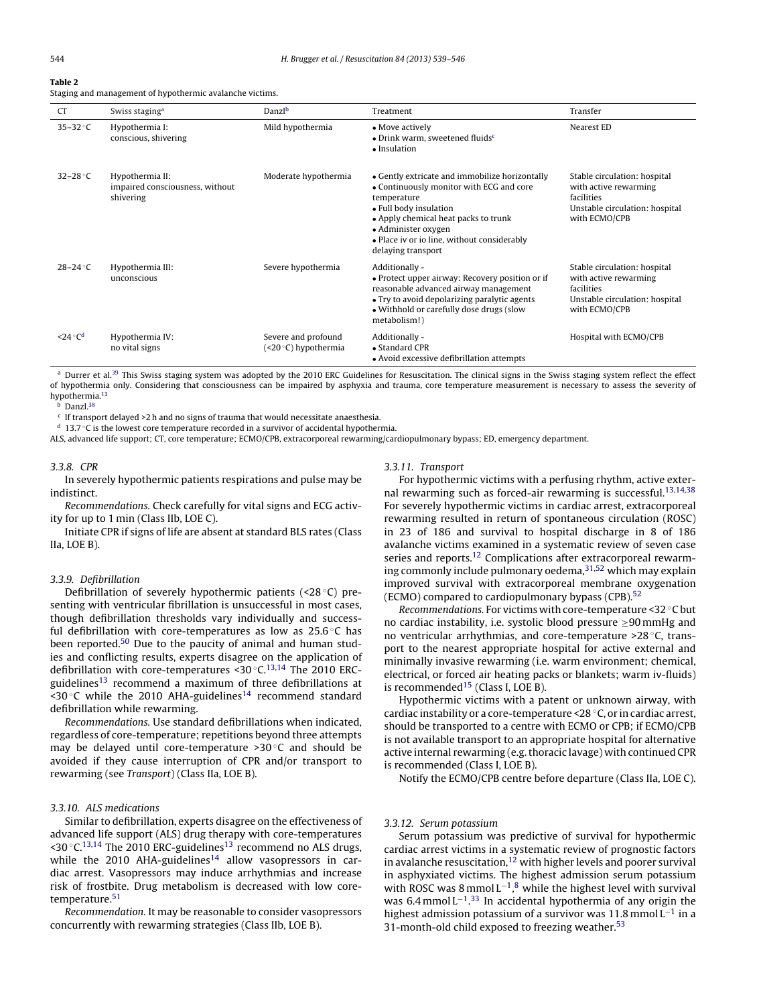# **Table 2**

Staging and management of hypothermic avalanche victims.

| <b>CT</b>                 | Swiss staging <sup>a</sup>                                      | Danzl <sup>b</sup>                           | Treatment                                                                                                                                                                                                                                                               | Transfer                                                                                                               |
|---------------------------|-----------------------------------------------------------------|----------------------------------------------|-------------------------------------------------------------------------------------------------------------------------------------------------------------------------------------------------------------------------------------------------------------------------|------------------------------------------------------------------------------------------------------------------------|
| $35-32$ °C                | Hypothermia I:<br>conscious, shivering                          | Mild hypothermia                             | • Move actively<br>$\bullet$ Drink warm, sweetened fluids <sup>c</sup><br>• Insulation                                                                                                                                                                                  | Nearest ED                                                                                                             |
| $32-28$ °C                | Hypothermia II:<br>impaired consciousness, without<br>shivering | Moderate hypothermia                         | • Gently extricate and immobilize horizontally<br>• Continuously monitor with ECG and core<br>temperature<br>• Full body insulation<br>• Apply chemical heat packs to trunk<br>• Administer oxygen<br>• Place iv or io line, without considerably<br>delaying transport | Stable circulation: hospital<br>with active rewarming<br>facilities<br>Unstable circulation: hospital<br>with ECMO/CPB |
| $28-24$ °C                | Hypothermia III:<br>unconscious                                 | Severe hypothermia                           | Additionally -<br>• Protect upper airway: Recovery position or if<br>reasonable advanced airway management<br>• Try to avoid depolarizing paralytic agents<br>• Withhold or carefully dose drugs (slow<br>metabolism!)                                                  | Stable circulation: hospital<br>with active rewarming<br>facilities<br>Unstable circulation: hospital<br>with ECMO/CPB |
| $\leq$ 24 °C <sup>d</sup> | Hypothermia IV:<br>no vital signs                               | Severe and profound<br>$(<20°C)$ hypothermia | Additionally -<br>• Standard CPR<br>• Avoid excessive defibrillation attempts                                                                                                                                                                                           | Hospital with ECMO/CPB                                                                                                 |

<sup>a</sup> Durrer et al.<sup>39</sup> This Swiss staging system was adopted by the 2010 ERC Guidelines for Resuscitation. The clinical signs in the Swiss staging system reflect the effect of hypothermia only. Considering that consciousness can be impaired by asphyxia and trauma, core temperature measurement is necessary to assess the severity of hypothermia.13

b Danzl.<sup>38</sup>

 $c$  If transport delayed >2 h and no signs of trauma that would necessitate anaesthesia.

<sup>d</sup> 13.7 ◦C is the lowest core temperature recorded in a survivor of accidental hypothermia.

ALS, advanced life support; CT, core temperature; ECMO/CPB, extracorporeal rewarming/cardiopulmonary bypass; ED, emergency department.

# 3.3.8. CPR

In severely hypothermic patients respirations and pulse may be indistinct.

Recommendations. Check carefully for vital signs and ECG activity for up to 1 min (Class IIb, LOE C).

Initiate CPR if signs of life are absent at standard BLS rates (Class IIa, LOE B).

#### 3.3.9. Defibrillation

Defibrillation of severely hypothermic patients (<28 ◦C) presenting with ventricular fibrillation is unsuccessful in most cases, though defibrillation thresholds vary individually and successful defibrillation with core-temperatures as low as  $25.6 °C$  has been reported.<sup>50</sup> Due to the paucity of animal and human studies and conflicting results, experts disagree on the application of defibrillation with core-temperatures <30 $\degree$ C.<sup>13,14</sup> The 2010 ERCguidelines13 recommend a maximum of three defibrillations at  $\leq$ 30 °C while the 2010 AHA-guidelines<sup>14</sup> recommend standard defibrillation while rewarming.

Recommendations. Use standard defibrillations when indicated, regardless of core-temperature; repetitions beyond three attempts may be delayed until core-temperature >30 ◦C and should be avoided if they cause interruption of CPR and/or transport to rewarming (see Transport) (Class IIa, LOE B).

# 3.3.10. ALS medications

Similar to defibrillation, experts disagree on the effectiveness of advanced life support (ALS) drug therapy with core-temperatures <30 $\degree$ C.<sup>13,14</sup> The 2010 ERC-guidelines<sup>13</sup> recommend no ALS drugs, while the 2010 AHA-guidelines<sup>14</sup> allow vasopressors in cardiac arrest. Vasopressors may induce arrhythmias and increase risk of frostbite. Drug metabolism is decreased with low coretemperature.<sup>51</sup>

Recommendation. It may be reasonable to consider vasopressors concurrently with rewarming strategies (Class IIb, LOE B).

# 3.3.11. Transport

For hypothermic victims with a perfusing rhythm, active external rewarming such as forced-air rewarming is successful.<sup>13,14,38</sup> For severely hypothermic victims in cardiac arrest, extracorporeal rewarming resulted in return of spontaneous circulation (ROSC) in 23 of 186 and survival to hospital discharge in 8 of 186 avalanche victims examined in a systematic review of seven case series and reports.<sup>12</sup> Complications after extracorporeal rewarming commonly include pulmonary oedema, 31,52 which may explain improved survival with extracorporeal membrane oxygenation (ECMO) compared to cardiopulmonary bypass (CPB).<sup>52</sup>

Recommendations. For victims with core-temperature <32 ◦C but no cardiac instability, i.e. systolic blood pressure ≥90 mmHg and no ventricular arrhythmias, and core-temperature >28 ◦C, transport to the nearest appropriate hospital for active external and minimally invasive rewarming (i.e. warm environment; chemical, electrical, or forced air heating packs or blankets; warm iv-fluids) is recommended15 (Class I, LOE B).

Hypothermic victims with a patent or unknown airway, with cardiac instability or a core-temperature <28 ◦C, or in cardiac arrest, should be transported to a centre with ECMO or CPB; if ECMO/CPB is not available transport to an appropriate hospital for alternative active internal rewarming (e.g. thoracic lavage) with continued CPR is recommended (Class I, LOE B).

Notify the ECMO/CPB centre before departure (Class IIa, LOE C).

#### 3.3.12. Serum potassium

Serum potassium was predictive of survival for hypothermic cardiac arrest victims in a systematic review of prognostic factors in avalanche resuscitation,<sup>12</sup> with higher levels and poorer survival in asphyxiated victims. The highest admission serum potassium with ROSC was 8 mmol L<sup>-1</sup>,<sup>8</sup> while the highest level with survival was 6.4 mmol L<sup>-1</sup>.<sup>33</sup> In accidental hypothermia of any origin the highest admission potassium of a survivor was 11.8 mmol L−<sup>1</sup> in a 31-month-old child exposed to freezing weather.<sup>53</sup>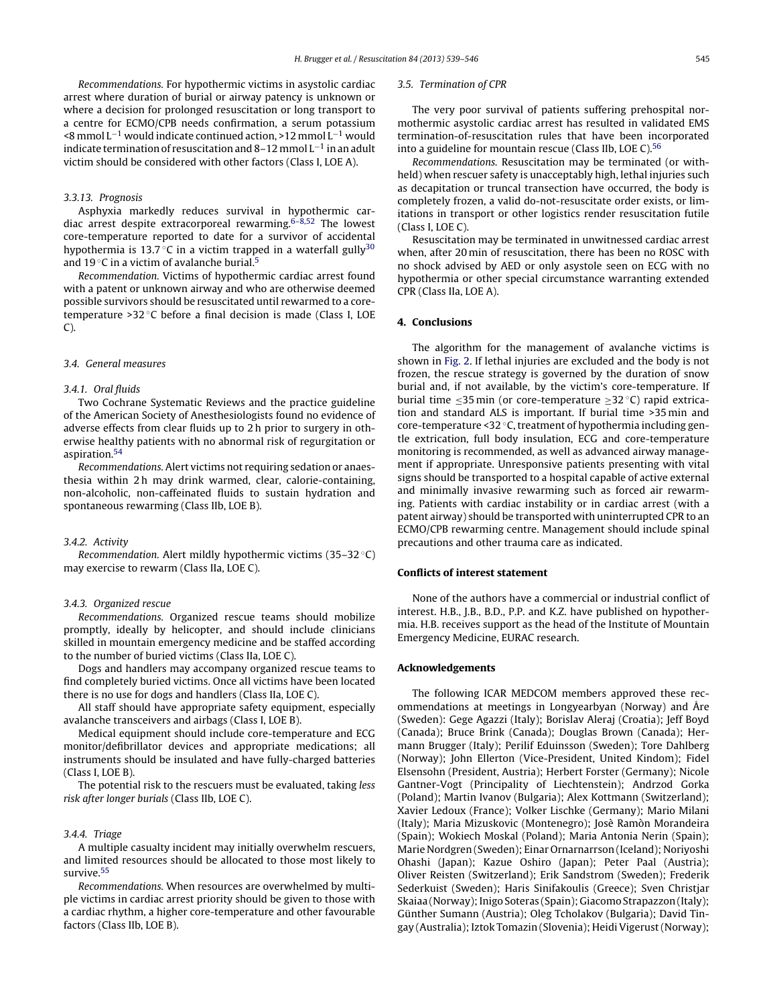Recommendations. For hypothermic victims in asystolic cardiac arrest where duration of burial or airway patency is unknown or where a decision for prolonged resuscitation or long transport to a centre for ECMO/CPB needs confirmation, a serum potassium <8 mmol L−<sup>1</sup> would indicate continued action, >12 mmol L−<sup>1</sup> would indicate termination of resuscitation and 8–12 mmol  $L^{-1}$  in an adult victim should be considered with other factors (Class I, LOE A).

#### 3.3.13. Prognosis

Asphyxia markedly reduces survival in hypothermic cardiac arrest despite extracorporeal rewarming. $6-8,52$  The lowest core-temperature reported to date for a survivor of accidental hypothermia is 13.7 $\degree$ C in a victim trapped in a waterfall gully<sup>30</sup> and 19  $\degree$ C in a victim of avalanche burial.<sup>5</sup>

Recommendation. Victims of hypothermic cardiac arrest found with a patent or unknown airway and who are otherwise deemed possible survivors should be resuscitated until rewarmed to a coretemperature >32 °C before a final decision is made (Class I, LOE  $C$ ).

#### 3.4. General measures

#### 3.4.1. Oral fluids

Two Cochrane Systematic Reviews and the practice guideline of the American Society of Anesthesiologists found no evidence of adverse effects from clear fluids up to 2 h prior to surgery in otherwise healthy patients with no abnormal risk of regurgitation or aspiration.54

Recommendations. Alert victims not requiring sedation or anaesthesia within 2 h may drink warmed, clear, calorie-containing, non-alcoholic, non-caffeinated fluids to sustain hydration and spontaneous rewarming (Class IIb, LOE B).

# 3.4.2. Activity

Recommendation. Alert mildly hypothermic victims (35–32 ◦C) may exercise to rewarm (Class IIa, LOE C).

## 3.4.3. Organized rescue

Recommendations. Organized rescue teams should mobilize promptly, ideally by helicopter, and should include clinicians skilled in mountain emergency medicine and be staffed according to the number of buried victims (Class IIa, LOE C).

Dogs and handlers may accompany organized rescue teams to find completely buried victims. Once all victims have been located there is no use for dogs and handlers (Class IIa, LOE C).

All staff should have appropriate safety equipment, especially avalanche transceivers and airbags (Class I, LOE B).

Medical equipment should include core-temperature and ECG monitor/defibrillator devices and appropriate medications; all instruments should be insulated and have fully-charged batteries (Class I, LOE B).

The potential risk to the rescuers must be evaluated, taking less risk after longer burials (Class IIb, LOE C).

# 3.4.4. Triage

A multiple casualty incident may initially overwhelm rescuers, and limited resources should be allocated to those most likely to survive<sup>55</sup>

Recommendations. When resources are overwhelmed by multiple victims in cardiac arrest priority should be given to those with a cardiac rhythm, a higher core-temperature and other favourable factors (Class IIb, LOE B).

#### 3.5. Termination of CPR

The very poor survival of patients suffering prehospital normothermic asystolic cardiac arrest has resulted in validated EMS termination-of-resuscitation rules that have been incorporated into a guideline for mountain rescue (Class IIb, LOE C).<sup>56</sup>

Recommendations. Resuscitation may be terminated (or withheld) when rescuer safety is unacceptably high, lethal injuries such as decapitation or truncal transection have occurred, the body is completely frozen, a valid do-not-resuscitate order exists, or limitations in transport or other logistics render resuscitation futile (Class I, LOE C).

Resuscitation may be terminated in unwitnessed cardiac arrest when, after 20 min of resuscitation, there has been no ROSC with no shock advised by AED or only asystole seen on ECG with no hypothermia or other special circumstance warranting extended CPR (Class IIa, LOE A).

## **4. Conclusions**

The algorithm for the management of avalanche victims is shown in Fig. 2. If lethal injuries are excluded and the body is not frozen, the rescue strategy is governed by the duration of snow burial and, if not available, by the victim's core-temperature. If burial time ≤35 min (or core-temperature ≥32 ◦C) rapid extrication and standard ALS is important. If burial time >35 min and core-temperature <32 ◦C, treatment of hypothermia including gentle extrication, full body insulation, ECG and core-temperature monitoring is recommended, as well as advanced airway management if appropriate. Unresponsive patients presenting with vital signs should be transported to a hospital capable of active external and minimally invasive rewarming such as forced air rewarming. Patients with cardiac instability or in cardiac arrest (with a patent airway) should be transported with uninterrupted CPR to an ECMO/CPB rewarming centre. Management should include spinal precautions and other trauma care as indicated.

# **Conflicts of interest statement**

None of the authors have a commercial or industrial conflict of interest. H.B., J.B., B.D., P.P. and K.Z. have published on hypothermia. H.B. receives support as the head of the Institute of Mountain Emergency Medicine, EURAC research.

# **Acknowledgements**

The following ICAR MEDCOM members approved these recommendations at meetings in Longyearbyan (Norway) and Åre (Sweden): Gege Agazzi (Italy); Borislav Aleraj (Croatia); Jeff Boyd (Canada); Bruce Brink (Canada); Douglas Brown (Canada); Hermann Brugger (Italy); Perilif Eduinsson (Sweden); Tore Dahlberg (Norway); John Ellerton (Vice-President, United Kindom); Fidel Elsensohn (President, Austria); Herbert Forster (Germany); Nicole Gantner-Vogt (Principality of Liechtenstein); Andrzod Gorka (Poland); Martin Ivanov (Bulgaria); Alex Kottmann (Switzerland); Xavier Ledoux (France); Volker Lischke (Germany); Mario Milani (Italy); Maria Mizuskovic (Montenegro); Josè Ramòn Morandeira (Spain); Wokiech Moskal (Poland); Maria Antonia Nerin (Spain); Marie Nordgren (Sweden); Einar Ornarnarrson (Iceland); Noriyoshi Ohashi (Japan); Kazue Oshiro (Japan); Peter Paal (Austria); Oliver Reisten (Switzerland); Erik Sandstrom (Sweden); Frederik Sederkuist (Sweden); Haris Sinifakoulis (Greece); Sven Christjar Skaiaa (Norway); Inigo Soteras (Spain); Giacomo Strapazzon (Italy); Günther Sumann (Austria); Oleg Tcholakov (Bulgaria); David Tingay (Australia); Iztok Tomazin (Slovenia); Heidi Vigerust (Norway);